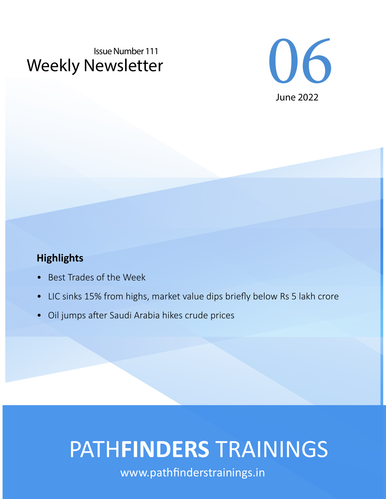# Weekly Newsletter Issue Number 111



## **Highlights**

- Best Trades of the Week
- LIC sinks 15% from highs, market value dips briefly below Rs 5 lakh crore
- Oil jumps after Saudi Arabia hikes crude prices

# PATH**FINDERS** TRAININGS

www.pathfinderstrainings.in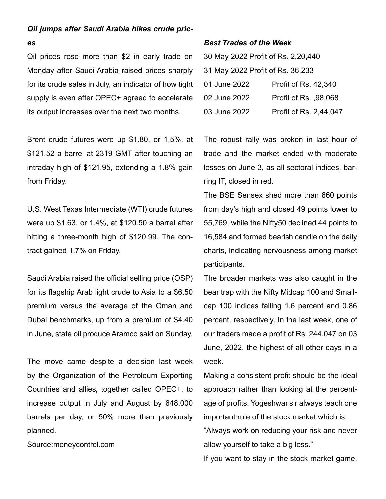#### *Oil jumps after Saudi Arabia hikes crude pric-*

#### *es*

Oil prices rose more than \$2 in early trade on Monday after Saudi Arabia raised prices sharply for its crude sales in July, an indicator of how tight supply is even after OPEC+ agreed to accelerate its output increases over the next two months.

Brent crude futures were up \$1.80, or 1.5%, at \$121.52 a barrel at 2319 GMT after touching an intraday high of \$121.95, extending a 1.8% gain from Friday.

U.S. West Texas Intermediate (WTI) crude futures were up \$1.63, or 1.4%, at \$120.50 a barrel after hitting a three-month high of \$120.99. The contract gained 1.7% on Friday.

Saudi Arabia raised the official selling price (OSP) for its flagship Arab light crude to Asia to a \$6.50 premium versus the average of the Oman and Dubai benchmarks, up from a premium of \$4.40 in June, state oil produce Aramco said on Sunday.

The move came despite a decision last week by the Organization of the Petroleum Exporting Countries and allies, together called OPEC+, to increase output in July and August by 648,000 barrels per day, or 50% more than previously planned.

Source:moneycontrol.com

#### *Best Trades of the Week*

| 30 May 2022 Profit of Rs. 2,20,440 |                         |
|------------------------------------|-------------------------|
| 31 May 2022 Profit of Rs. 36,233   |                         |
| 01 June 2022                       | Profit of Rs. 42,340    |
| 02 June 2022                       | Profit of Rs. $.98.068$ |
| 03 June 2022                       | Profit of Rs. 2,44,047  |

The robust rally was broken in last hour of trade and the market ended with moderate losses on June 3, as all sectoral indices, barring IT, closed in red.

The BSE Sensex shed more than 660 points from day's high and closed 49 points lower to 55,769, while the Nifty50 declined 44 points to 16,584 and formed bearish candle on the daily charts, indicating nervousness among market participants.

The broader markets was also caught in the bear trap with the Nifty Midcap 100 and Smallcap 100 indices falling 1.6 percent and 0.86 percent, respectively. In the last week, one of our traders made a profit of Rs. 244,047 on 03 June, 2022, the highest of all other days in a week.

Making a consistent profit should be the ideal approach rather than looking at the percentage of profits. Yogeshwar sir always teach one important rule of the stock market which is "Always work on reducing your risk and never allow yourself to take a big loss."

If you want to stay in the stock market game,